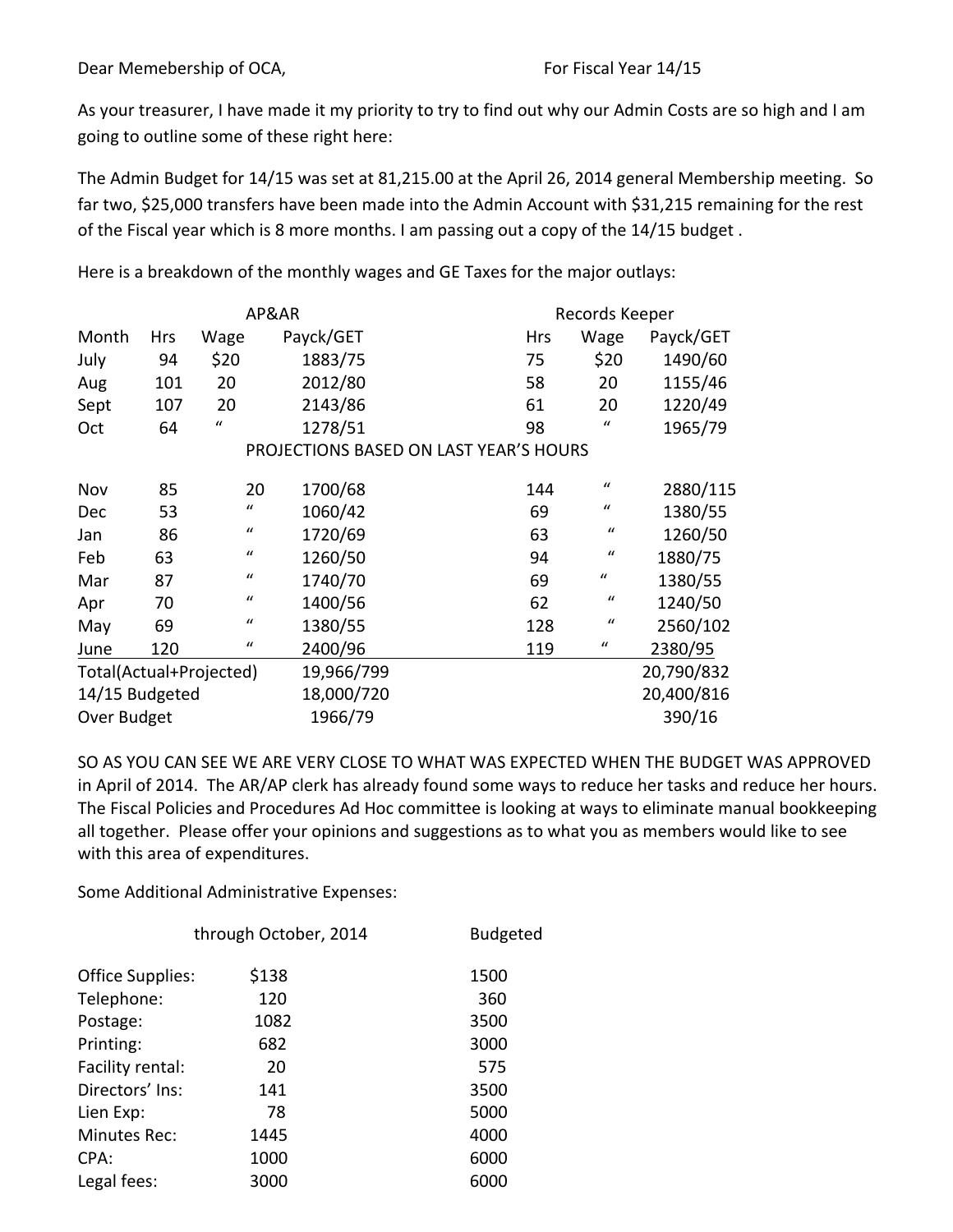As your treasurer, I have made it my priority to try to find out why our Admin Costs are so high and I am going to outline some of these right here:

The Admin Budget for 14/15 was set at 81,215.00 at the April 26, 2014 general Membership meeting. So far two, \$25,000 transfers have been made into the Admin Account with \$31,215 remaining for the rest of the Fiscal year which is 8 more months. I am passing out a copy of the 14/15 budget.

| AP&AR                   |            |                  |                                        | Records Keeper |                  |           |
|-------------------------|------------|------------------|----------------------------------------|----------------|------------------|-----------|
| Month                   | <b>Hrs</b> | Wage             | Payck/GET                              | <b>Hrs</b>     | Wage             | Payck/GET |
| July                    | 94         | \$20             | 1883/75                                | 75             | \$20             | 1490/60   |
| Aug                     | 101        | 20               | 2012/80                                | 58             | 20               | 1155/46   |
| Sept                    | 107        | 20               | 2143/86                                | 61             | 20               | 1220/49   |
| Oct                     | 64         | $\bf{u}$         | 1278/51                                | 98             | $\boldsymbol{u}$ | 1965/79   |
|                         |            |                  | PROJECTIONS BASED ON LAST YEAR'S HOURS |                |                  |           |
| Nov                     | 85         | 20               | 1700/68                                | 144            | $\mathcal{U}$    | 2880/115  |
| Dec                     | 53         | $\boldsymbol{u}$ | 1060/42                                | 69             | $\boldsymbol{u}$ | 1380/55   |
| Jan                     | 86         | $\bf{u}$         | 1720/69                                | 63             | $\mathbf{u}$     | 1260/50   |
| Feb                     | 63         | $\mathcal{U}$    | 1260/50                                | 94             | $\boldsymbol{u}$ | 1880/75   |
| Mar                     | 87         | $\boldsymbol{u}$ | 1740/70                                | 69             | $\bf{u}$         | 1380/55   |
| Apr                     | 70         | $\bf{u}$         | 1400/56                                | 62             | $\mathbf{u}$     | 1240/50   |
| May                     | 69         | $\bf{u}$         | 1380/55                                | 128            | $\mathcal{U}$    | 2560/102  |
| June                    | 120        | $\bf{u}$         | 2400/96                                | 119            | $\boldsymbol{u}$ | 2380/95   |
| Total(Actual+Projected) |            | 19,966/799       |                                        |                | 20,790/832       |           |
| 14/15 Budgeted          |            | 18,000/720       |                                        |                | 20,400/816       |           |
| Over Budget             |            | 1966/79          |                                        | 390/16         |                  |           |

Here is a breakdown of the monthly wages and GE Taxes for the major outlays:

SO AS YOU CAN SEE WE ARE VERY CLOSE TO WHAT WAS EXPECTED WHEN THE BUDGET WAS APPROVED in April of 2014. The AR/AP clerk has already found some ways to reduce her tasks and reduce her hours. The Fiscal Policies and Procedures Ad Hoc committee is looking at ways to eliminate manual bookkeeping all together. Please offer your opinions and suggestions as to what you as members would like to see with this area of expenditures.

Some Additional Administrative Expenses:

| through October, 2014 |       | <b>Budgeted</b> |  |  |
|-----------------------|-------|-----------------|--|--|
| Office Supplies:      | \$138 | 1500            |  |  |
| Telephone:            | 120   | 360             |  |  |
| Postage:              | 1082  | 3500            |  |  |
| Printing:             | 682   | 3000            |  |  |
| Facility rental:      | 20    | 575             |  |  |
| Directors' Ins:       | 141   | 3500            |  |  |
| Lien Exp:             | 78    | 5000            |  |  |
| Minutes Rec:          | 1445  | 4000            |  |  |
| CPA:                  | 1000  | 6000            |  |  |
| Legal fees:           | 3000  | 6000            |  |  |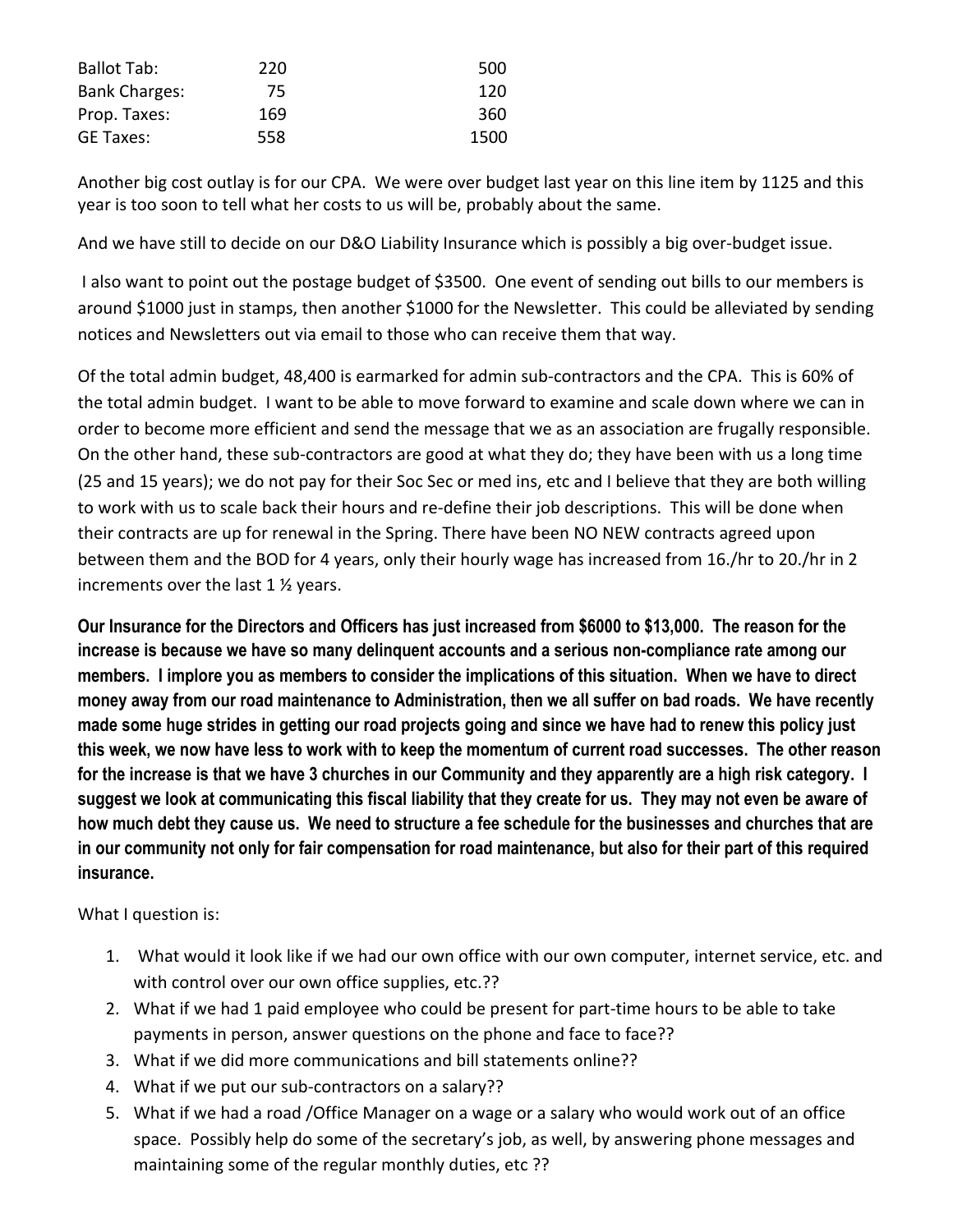| <b>Ballot Tab:</b>   | 220 | 500  |
|----------------------|-----|------|
| <b>Bank Charges:</b> | 75. | 120  |
| Prop. Taxes:         | 169 | 360  |
| <b>GE Taxes:</b>     | 558 | 1500 |

Another big cost outlay is for our CPA. We were over budget last year on this line item by 1125 and this year is too soon to tell what her costs to us will be, probably about the same.

And we have still to decide on our D&O Liability Insurance which is possibly a big over-budget issue.

I also want to point out the postage budget of \$3500. One event of sending out bills to our members is around \$1000 just in stamps, then another \$1000 for the Newsletter. This could be alleviated by sending notices and Newsletters out via email to those who can receive them that way.

Of the total admin budget, 48,400 is earmarked for admin sub-contractors and the CPA. This is 60% of the total admin budget. I want to be able to move forward to examine and scale down where we can in order to become more efficient and send the message that we as an association are frugally responsible. On the other hand, these sub-contractors are good at what they do; they have been with us a long time (25 and 15 years); we do not pay for their Soc Sec or med ins, etc and I believe that they are both willing to work with us to scale back their hours and re-define their job descriptions. This will be done when their contracts are up for renewal in the Spring. There have been NO NEW contracts agreed upon between them and the BOD for 4 years, only their hourly wage has increased from 16./hr to 20./hr in 2 increments over the last  $1 \frac{1}{2}$  years.

**Our Insurance for the Directors and Officers has just increased from \$6000 to \$13,000. The reason for the increase is because we have so many delinquent accounts and a serious non-compliance rate among our members. I implore you as members to consider the implications of this situation. When we have to direct money away from our road maintenance to Administration, then we all suffer on bad roads. We have recently made some huge strides in getting our road projects going and since we have had to renew this policy just this week, we now have less to work with to keep the momentum of current road successes. The other reason for the increase is that we have 3 churches in our Community and they apparently are a high risk category. I suggest we look at communicating this fiscal liability that they create for us. They may not even be aware of how much debt they cause us. We need to structure a fee schedule for the businesses and churches that are in our community not only for fair compensation for road maintenance, but also for their part of this required insurance.**

What I question is:

- 1. What would it look like if we had our own office with our own computer, internet service, etc. and with control over our own office supplies, etc.??
- 2. What if we had 1 paid employee who could be present for part-time hours to be able to take payments in person, answer questions on the phone and face to face??
- 3. What if we did more communications and bill statements online??
- 4. What if we put our sub-contractors on a salary??
- 5. What if we had a road / Office Manager on a wage or a salary who would work out of an office space. Possibly help do some of the secretary's job, as well, by answering phone messages and maintaining some of the regular monthly duties, etc ??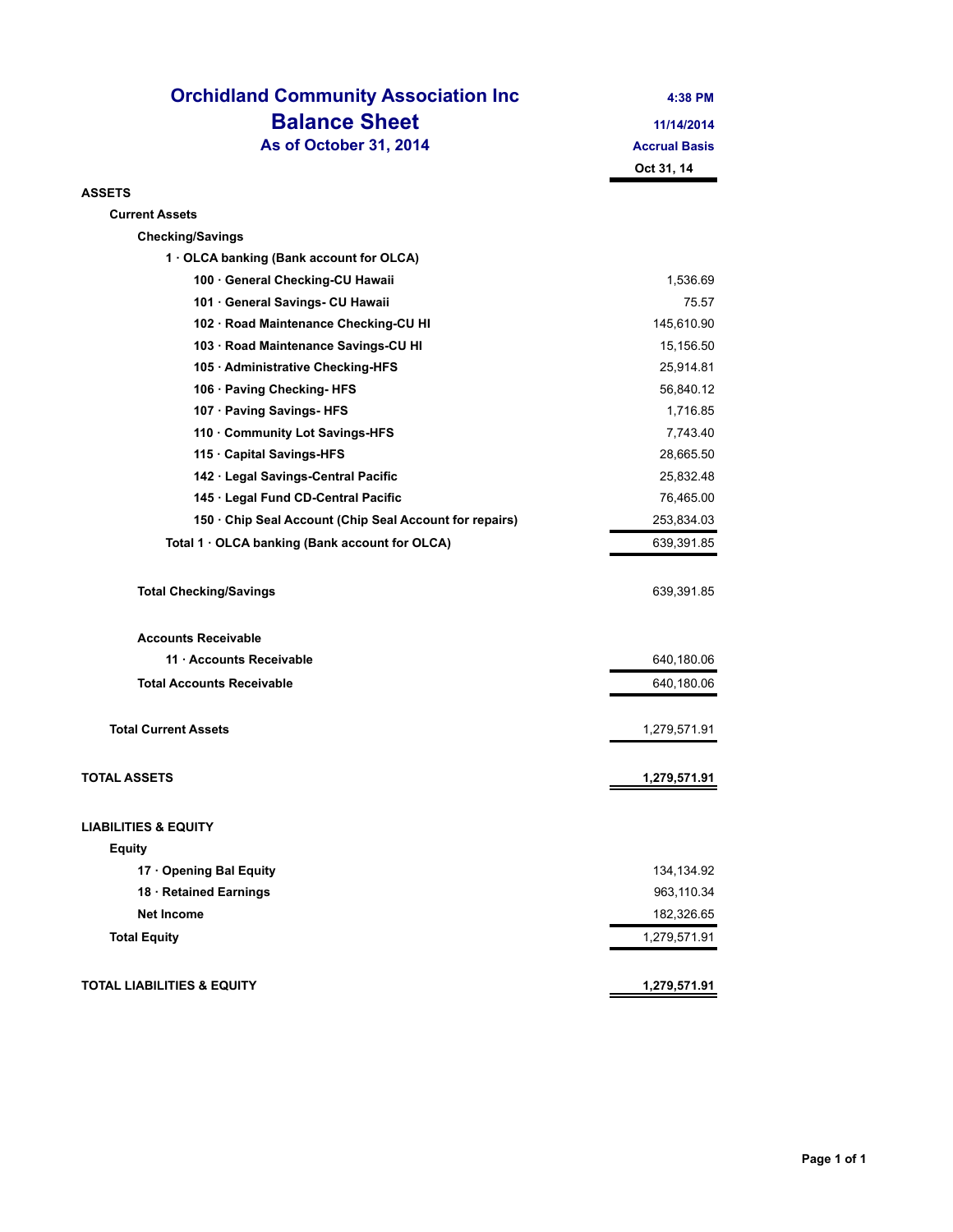| <b>Orchidland Community Association Inc</b>           | 4:38 PM              |
|-------------------------------------------------------|----------------------|
| <b>Balance Sheet</b>                                  | 11/14/2014           |
| As of October 31, 2014                                | <b>Accrual Basis</b> |
|                                                       | Oct 31, 14           |
| <b>ASSETS</b>                                         |                      |
| <b>Current Assets</b>                                 |                      |
| <b>Checking/Savings</b>                               |                      |
| 1 . OLCA banking (Bank account for OLCA)              |                      |
| 100 · General Checking-CU Hawaii                      | 1,536.69             |
| 101 · General Savings- CU Hawaii                      | 75.57                |
| 102 · Road Maintenance Checking-CU HI                 | 145,610.90           |
| 103 · Road Maintenance Savings-CU HI                  | 15,156.50            |
| 105 · Administrative Checking-HFS                     | 25,914.81            |
| 106 · Paving Checking-HFS                             | 56,840.12            |
| 107 · Paving Savings- HFS                             | 1,716.85             |
| 110 Community Lot Savings-HFS                         | 7,743.40             |
| 115 Capital Savings-HFS                               | 28,665.50            |
| 142 · Legal Savings-Central Pacific                   | 25,832.48            |
| 145 · Legal Fund CD-Central Pacific                   | 76,465.00            |
| 150 Chip Seal Account (Chip Seal Account for repairs) | 253,834.03           |
| Total 1 · OLCA banking (Bank account for OLCA)        | 639,391.85           |
| <b>Total Checking/Savings</b>                         | 639,391.85           |
| <b>Accounts Receivable</b>                            |                      |
| 11 · Accounts Receivable                              | 640,180.06           |
| <b>Total Accounts Receivable</b>                      | 640,180.06           |
| <b>Total Current Assets</b>                           | 1,279,571.91         |
| <b>TOTAL ASSETS</b>                                   | 1,279,571.91         |
| <b>LIABILITIES &amp; EQUITY</b>                       |                      |
| <b>Equity</b>                                         |                      |
| 17 Opening Bal Equity                                 | 134,134.92           |
| 18 · Retained Earnings                                | 963,110.34           |
| <b>Net Income</b>                                     | 182,326.65           |
| <b>Total Equity</b>                                   | 1,279,571.91         |
| <b>TOTAL LIABILITIES &amp; EQUITY</b>                 | 1,279,571.91         |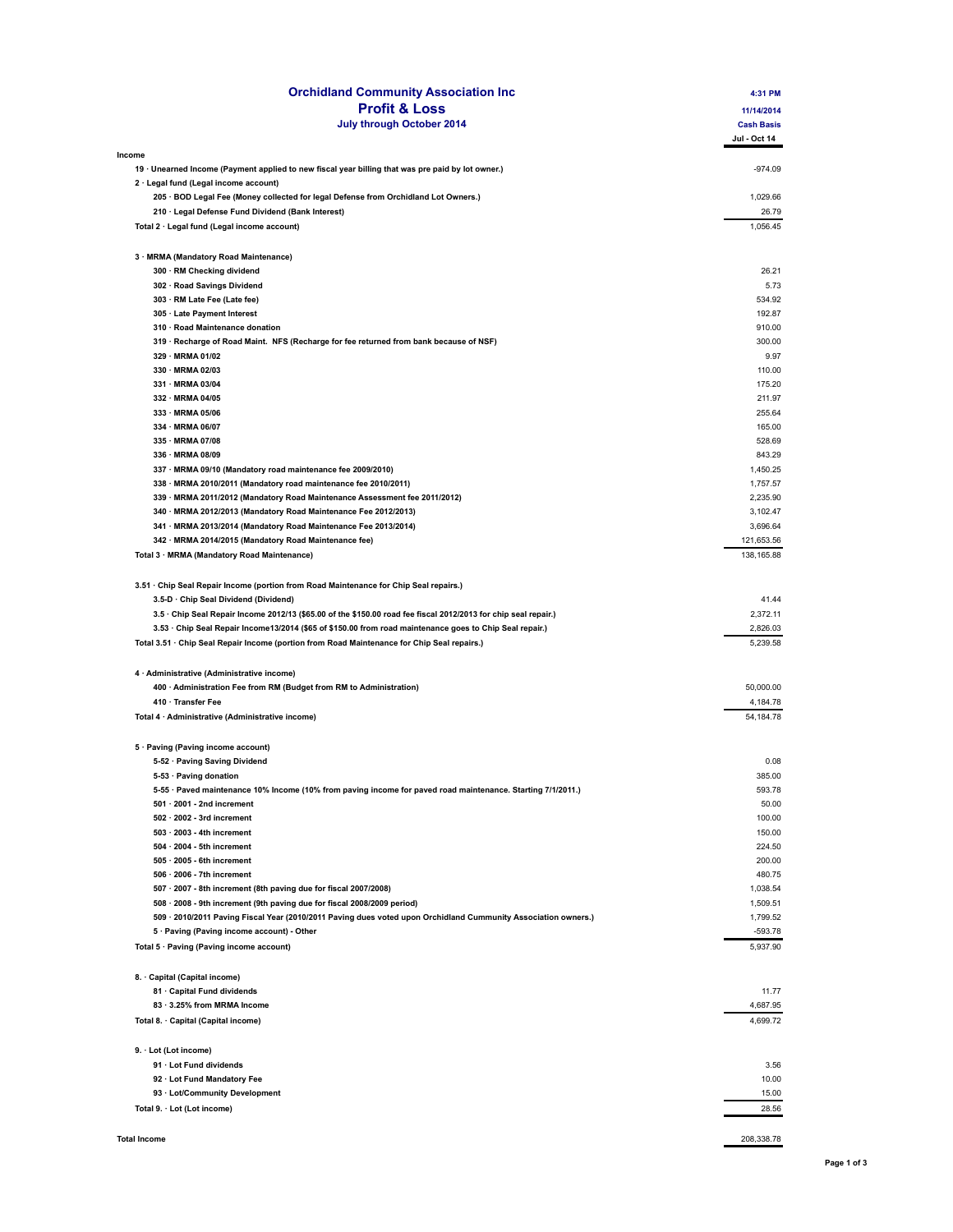| <b>Profit &amp; Loss</b>                                                                                        | 4:31 PM                   |
|-----------------------------------------------------------------------------------------------------------------|---------------------------|
|                                                                                                                 | 11/14/2014                |
| July through October 2014                                                                                       | <b>Cash Basis</b>         |
|                                                                                                                 | Jul - Oct 14              |
| Income                                                                                                          |                           |
| 19 · Unearned Income (Payment applied to new fiscal year billing that was pre paid by lot owner.)               | $-974.09$                 |
| 2 · Legal fund (Legal income account)                                                                           |                           |
| 205 · BOD Legal Fee (Money collected for legal Defense from Orchidland Lot Owners.)                             | 1,029.66                  |
| 210 · Legal Defense Fund Dividend (Bank Interest)                                                               | 26.79                     |
| Total 2 · Legal fund (Legal income account)                                                                     | 1,056.45                  |
|                                                                                                                 |                           |
| 3 · MRMA (Mandatory Road Maintenance)                                                                           | 26.21                     |
| 300 · RM Checking dividend<br>302 · Road Savings Dividend                                                       | 5.73                      |
|                                                                                                                 |                           |
| 303 · RM Late Fee (Late fee)                                                                                    | 534.92                    |
| 305 · Late Payment Interest                                                                                     | 192.87                    |
| 310 · Road Maintenance donation                                                                                 | 910.00                    |
| 319 · Recharge of Road Maint. NFS (Recharge for fee returned from bank because of NSF)                          | 300.00                    |
| 329 · MRMA 01/02                                                                                                | 9.97                      |
| 330 · MRMA 02/03                                                                                                | 110.00                    |
| 331 · MRMA 03/04                                                                                                | 175.20                    |
| 332 · MRMA 04/05                                                                                                | 211.97                    |
| 333 · MRMA 05/06                                                                                                | 255.64                    |
| 334 · MRMA 06/07                                                                                                | 165.00                    |
| 335 · MRMA 07/08                                                                                                | 528.69                    |
| 336 · MRMA 08/09                                                                                                | 843.29                    |
| 337 · MRMA 09/10 (Mandatory road maintenance fee 2009/2010)                                                     | 1,450.25                  |
| 338 · MRMA 2010/2011 (Mandatory road maintenance fee 2010/2011)                                                 | 1,757.57                  |
| 339 · MRMA 2011/2012 (Mandatory Road Maintenance Assessment fee 2011/2012)                                      | 2,235.90                  |
| 340 · MRMA 2012/2013 (Mandatory Road Maintenance Fee 2012/2013)                                                 | 3,102.47                  |
| 341 · MRMA 2013/2014 (Mandatory Road Maintenance Fee 2013/2014)                                                 | 3,696.64                  |
| 342 · MRMA 2014/2015 (Mandatory Road Maintenance fee)                                                           | 121,653.56                |
| Total 3 · MRMA (Mandatory Road Maintenance)                                                                     | 138,165.88                |
|                                                                                                                 |                           |
| 3.51 · Chip Seal Repair Income (portion from Road Maintenance for Chip Seal repairs.)                           |                           |
| 3.5-D · Chip Seal Dividend (Dividend)                                                                           | 41.44                     |
| 3.5 · Chip Seal Repair Income 2012/13 (\$65.00 of the \$150.00 road fee fiscal 2012/2013 for chip seal repair.) | 2,372.11                  |
| 3.53 · Chip Seal Repair Income13/2014 (\$65 of \$150.00 from road maintenance goes to Chip Seal repair.)        | 2,826.03                  |
| Total 3.51 · Chip Seal Repair Income (portion from Road Maintenance for Chip Seal repairs.)                     | 5,239.58                  |
|                                                                                                                 |                           |
| 4 · Administrative (Administrative income)                                                                      | 50.000.00                 |
| 400 · Administration Fee from RM (Budget from RM to Administration)                                             |                           |
| 410 · Transfer Fee<br>Total 4 · Administrative (Administrative income)                                          | 4,184.78<br>54,184.78     |
|                                                                                                                 |                           |
| 5 · Paving (Paving income account)                                                                              |                           |
| 5-52 · Paving Saving Dividend                                                                                   | 0.08                      |
| 5-53 · Paving donation                                                                                          | 385.00                    |
| 5-55 · Paved maintenance 10% Income (10% from paving income for paved road maintenance. Starting 7/1/2011.)     | 593.78                    |
| $501 \cdot 2001$ - 2nd increment                                                                                | 50.00                     |
| $502 \cdot 2002$ - 3rd increment                                                                                | 100.00                    |
| $503 \cdot 2003$ - 4th increment                                                                                | 150.00                    |
| $504 \cdot 2004$ - 5th increment                                                                                | 224.50                    |
| $505 \cdot 2005$ - 6th increment                                                                                | 200.00                    |
| $506 \cdot 2006$ - 7th increment                                                                                | 480.75                    |
|                                                                                                                 |                           |
| 507 · 2007 - 8th increment (8th paving due for fiscal 2007/2008)                                                | 1,038.54                  |
| 508 · 2008 - 9th increment (9th paving due for fiscal 2008/2009 period)                                         | 1,509.51                  |
| 509 · 2010/2011 Paving Fiscal Year (2010/2011 Paving dues voted upon Orchidland Cummunity Association owners.)  | 1,799.52                  |
| 5 · Paving (Paving income account) - Other                                                                      | $-593.78$                 |
| Total 5 · Paving (Paving income account)                                                                        | 5,937.90                  |
|                                                                                                                 |                           |
| 8. Capital (Capital income)                                                                                     |                           |
|                                                                                                                 | 11.77                     |
| 81 Capital Fund dividends                                                                                       | 4,687.95                  |
| 83 · 3.25% from MRMA Income                                                                                     |                           |
| Total 8. · Capital (Capital income)                                                                             |                           |
| 9. Lot (Lot income)                                                                                             |                           |
| 91 · Lot Fund dividends                                                                                         |                           |
|                                                                                                                 |                           |
| 92 Lot Fund Mandatory Fee                                                                                       | 4,699.72<br>3.56<br>10.00 |
| 93 · Lot/Community Development                                                                                  | 15.00                     |
| Total 9. · Lot (Lot income)                                                                                     | 28.56                     |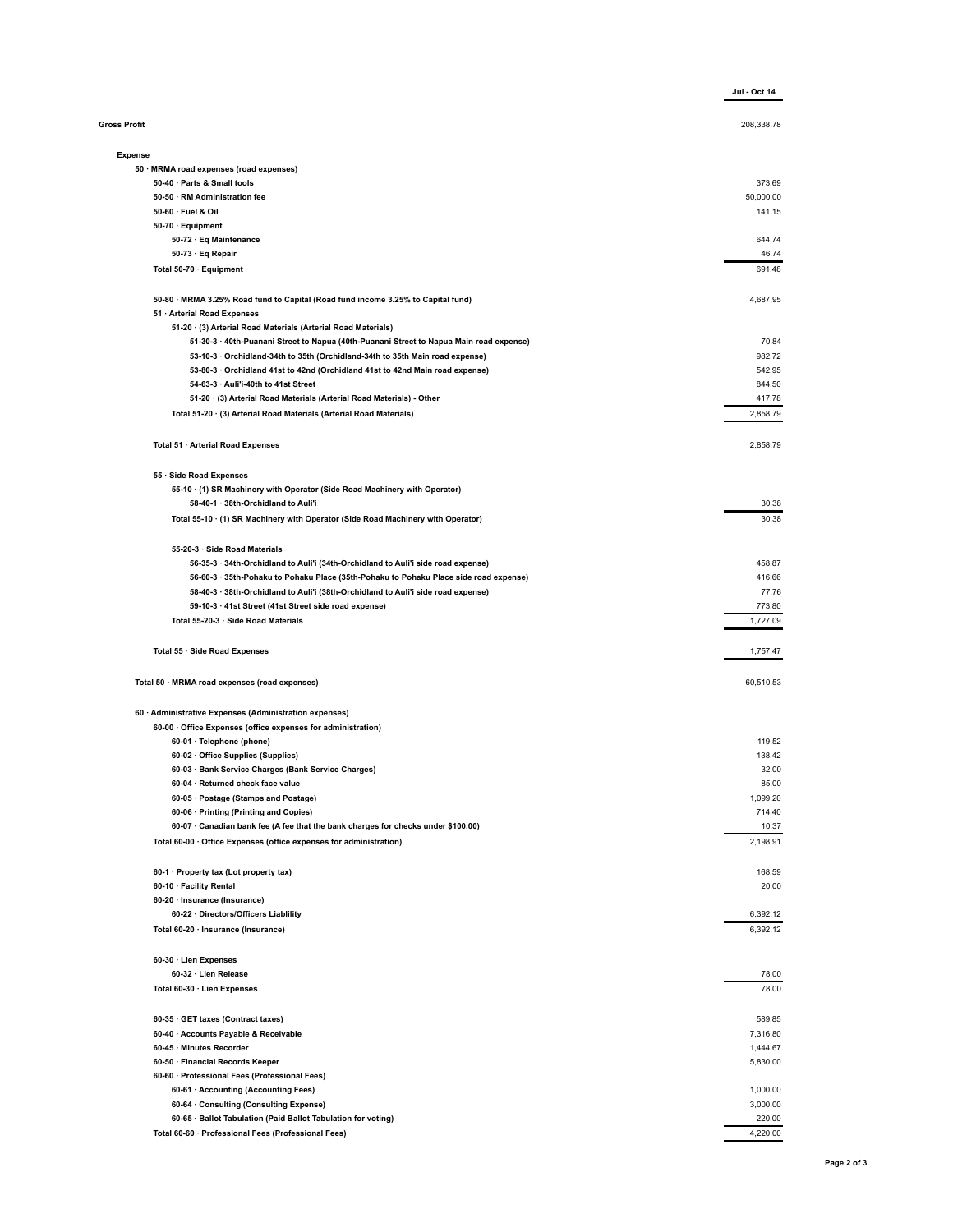|                                                                                                                                                                            | Jul - Oct 14         |
|----------------------------------------------------------------------------------------------------------------------------------------------------------------------------|----------------------|
| <b>Gross Profit</b>                                                                                                                                                        | 208,338.78           |
| <b>Expense</b>                                                                                                                                                             |                      |
| 50 · MRMA road expenses (road expenses)                                                                                                                                    |                      |
| 50-40 · Parts & Small tools                                                                                                                                                | 373.69               |
| 50-50 · RM Administration fee                                                                                                                                              | 50,000.00            |
| 50-60 Fuel & Oil                                                                                                                                                           | 141.15               |
| 50-70 · Equipment                                                                                                                                                          |                      |
| 50-72 · Eq Maintenance                                                                                                                                                     | 644.74               |
| 50-73 Eq Repair<br>Total 50-70 · Equipment                                                                                                                                 | 46.74<br>691.48      |
|                                                                                                                                                                            |                      |
| 50-80 · MRMA 3.25% Road fund to Capital (Road fund income 3.25% to Capital fund)<br>51 · Arterial Road Expenses                                                            | 4,687.95             |
| 51-20 · (3) Arterial Road Materials (Arterial Road Materials)                                                                                                              |                      |
| 51-30-3 · 40th-Puanani Street to Napua (40th-Puanani Street to Napua Main road expense)                                                                                    | 70.84                |
| 53-10-3 · Orchidland-34th to 35th (Orchidland-34th to 35th Main road expense)                                                                                              | 982.72               |
| 53-80-3 · Orchidland 41st to 42nd (Orchidland 41st to 42nd Main road expense)                                                                                              | 542.95               |
| 54-63-3 · Auli'i-40th to 41st Street                                                                                                                                       | 844.50               |
| 51-20 · (3) Arterial Road Materials (Arterial Road Materials) - Other                                                                                                      | 417.78               |
| Total 51-20 · (3) Arterial Road Materials (Arterial Road Materials)                                                                                                        | 2,858.79             |
| Total 51 · Arterial Road Expenses                                                                                                                                          | 2,858.79             |
|                                                                                                                                                                            |                      |
| 55 · Side Road Expenses<br>55-10 (1) SR Machinery with Operator (Side Road Machinery with Operator)                                                                        |                      |
| 58-40-1 · 38th-Orchidland to Auli'i                                                                                                                                        | 30.38                |
| Total 55-10 · (1) SR Machinery with Operator (Side Road Machinery with Operator)                                                                                           | 30.38                |
|                                                                                                                                                                            |                      |
| 55-20-3 · Side Road Materials                                                                                                                                              |                      |
| 56-35-3 · 34th-Orchidland to Auli'i (34th-Orchidland to Auli'i side road expense)                                                                                          | 458.87               |
| 56-60-3 · 35th-Pohaku to Pohaku Place (35th-Pohaku to Pohaku Place side road expense)<br>58-40-3 · 38th-Orchidland to Auli'i (38th-Orchidland to Auli'i side road expense) | 416.66<br>77.76      |
| 59-10-3 · 41st Street (41st Street side road expense)                                                                                                                      | 773.80               |
| Total 55-20-3 · Side Road Materials                                                                                                                                        | 1,727.09             |
| Total 55 · Side Road Expenses                                                                                                                                              | 1,757.47             |
| Total 50 · MRMA road expenses (road expenses)                                                                                                                              | 60,510.53            |
| 60 · Administrative Expenses (Administration expenses)                                                                                                                     |                      |
| 60-00 Office Expenses (office expenses for administration)                                                                                                                 |                      |
| 60-01 · Telephone (phone)                                                                                                                                                  | 119.52               |
| 60-02 Office Supplies (Supplies)                                                                                                                                           | 138.42               |
| 60-03 · Bank Service Charges (Bank Service Charges)                                                                                                                        | 32.00                |
| 60-04 · Returned check face value                                                                                                                                          | 85.00                |
| 60-05 · Postage (Stamps and Postage)                                                                                                                                       | 1,099.20             |
| 60-06 · Printing (Printing and Copies)                                                                                                                                     | 714.40               |
| 60-07 · Canadian bank fee (A fee that the bank charges for checks under \$100.00)<br>Total 60-00 · Office Expenses (office expenses for administration)                    | 10.37<br>2,198.91    |
|                                                                                                                                                                            |                      |
| 60-1 · Property tax (Lot property tax)                                                                                                                                     | 168.59               |
| 60-10 · Facility Rental                                                                                                                                                    | 20.00                |
| 60-20 · Insurance (Insurance)                                                                                                                                              |                      |
| 60-22 · Directors/Officers Liablility<br>Total 60-20 · Insurance (Insurance)                                                                                               | 6,392.12<br>6,392.12 |
|                                                                                                                                                                            |                      |
| 60-30 Lien Expenses<br>60-32 · Lien Release                                                                                                                                |                      |
|                                                                                                                                                                            | 78.00<br>78.00       |
| Total 60-30 · Lien Expenses                                                                                                                                                |                      |
| 60-35 GET taxes (Contract taxes)                                                                                                                                           | 589.85               |
| 60-40 · Accounts Payable & Receivable                                                                                                                                      | 7,316.80             |
| 60-45 · Minutes Recorder                                                                                                                                                   | 1,444.67             |
| 60-50 · Financial Records Keeper                                                                                                                                           | 5,830.00             |
| 60-60 · Professional Fees (Professional Fees)                                                                                                                              |                      |
| 60-61 · Accounting (Accounting Fees)                                                                                                                                       | 1,000.00             |
| 60-64 · Consulting (Consulting Expense)                                                                                                                                    | 3,000.00             |
| 60-65 · Ballot Tabulation (Paid Ballot Tabulation for voting)                                                                                                              | 220.00               |
| Total 60-60 · Professional Fees (Professional Fees)                                                                                                                        | 4,220.00             |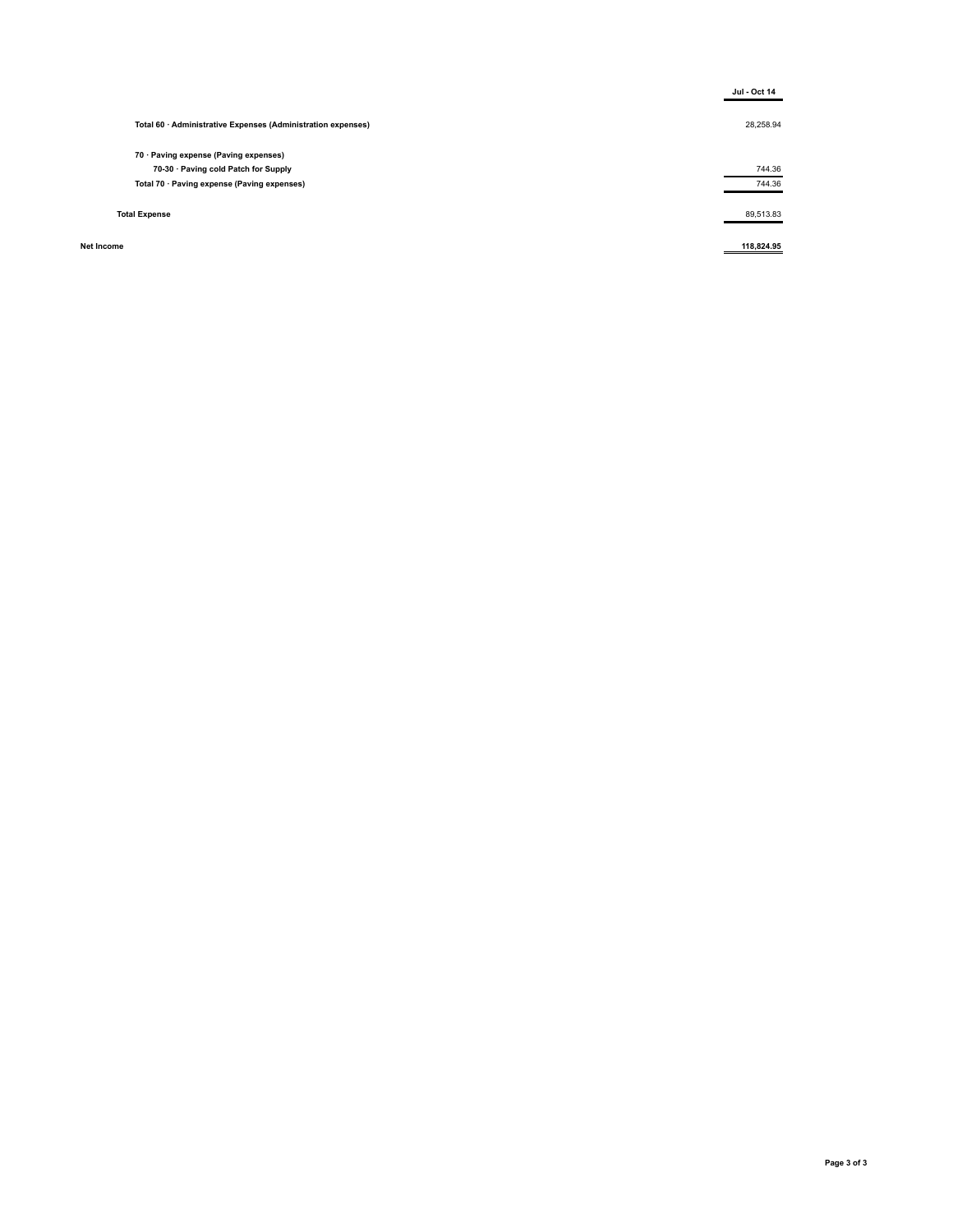|                                                              | <b>Jul - Oct 14</b> |
|--------------------------------------------------------------|---------------------|
| Total 60 · Administrative Expenses (Administration expenses) | 28,258.94           |
| 70 · Paving expense (Paving expenses)                        |                     |
| 70-30 Paving cold Patch for Supply                           | 744.36              |
| Total 70 · Paving expense (Paving expenses)                  | 744.36              |
| <b>Total Expense</b>                                         | 89,513.83           |
| Net Income                                                   | 118,824.95          |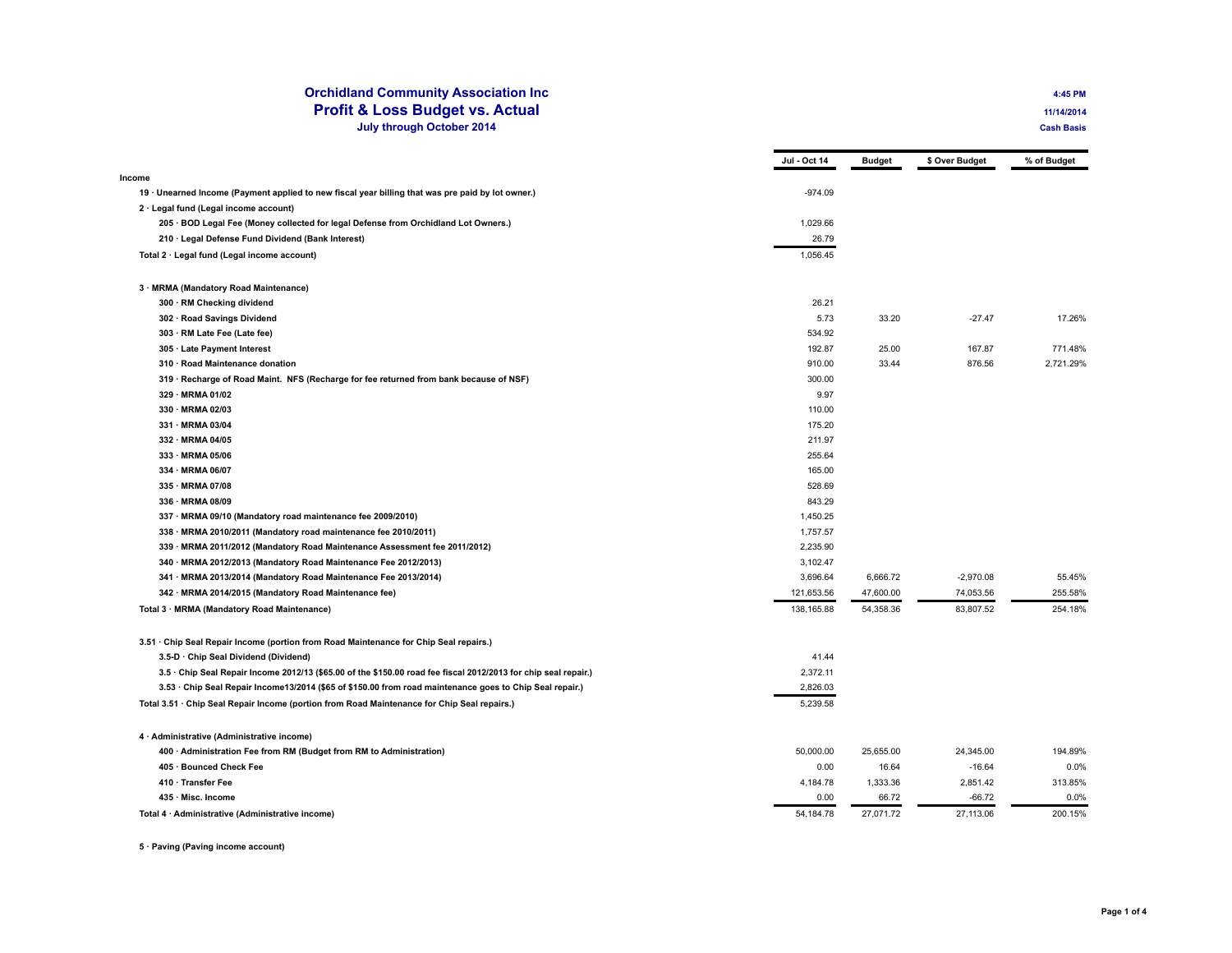## **Orchidland Community Association Inc 4:45 PM Profit & Loss Budget vs. Actual <b>11/14/2014 July through October 2014 Cash Basis**

|                                                                                                                 | Jul - Oct 14 | <b>Budget</b> | \$ Over Budget | % of Budget |
|-----------------------------------------------------------------------------------------------------------------|--------------|---------------|----------------|-------------|
| Income                                                                                                          |              |               |                |             |
| 19 · Unearned Income (Payment applied to new fiscal year billing that was pre paid by lot owner.)               | $-974.09$    |               |                |             |
| $2 \cdot$ Legal fund (Legal income account)                                                                     |              |               |                |             |
| 205 · BOD Legal Fee (Money collected for legal Defense from Orchidland Lot Owners.)                             | 1,029.66     |               |                |             |
| 210 · Legal Defense Fund Dividend (Bank Interest)                                                               | 26.79        |               |                |             |
| Total 2 · Legal fund (Legal income account)                                                                     | 1.056.45     |               |                |             |
| 3 · MRMA (Mandatory Road Maintenance)                                                                           |              |               |                |             |
| 300 · RM Checking dividend                                                                                      | 26.21        |               |                |             |
| 302 · Road Savings Dividend                                                                                     | 5.73         | 33.20         | $-27.47$       | 17.26%      |
| 303 · RM Late Fee (Late fee)                                                                                    | 534.92       |               |                |             |
| 305 · Late Payment Interest                                                                                     | 192.87       | 25.00         | 167.87         | 771.48%     |
| 310 · Road Maintenance donation                                                                                 | 910.00       | 33.44         | 876.56         | 2.721.29%   |
| 319 · Recharge of Road Maint. NFS (Recharge for fee returned from bank because of NSF)                          | 300.00       |               |                |             |
| 329 · MRMA 01/02                                                                                                | 9.97         |               |                |             |
| 330 · MRMA 02/03                                                                                                | 110.00       |               |                |             |
| 331 · MRMA 03/04                                                                                                | 175.20       |               |                |             |
| 332 · MRMA 04/05                                                                                                | 211.97       |               |                |             |
| 333 · MRMA 05/06                                                                                                | 255.64       |               |                |             |
| 334 · MRMA 06/07                                                                                                | 165.00       |               |                |             |
| 335 · MRMA 07/08                                                                                                | 528.69       |               |                |             |
| 336 · MRMA 08/09                                                                                                | 843.29       |               |                |             |
| 337 · MRMA 09/10 (Mandatory road maintenance fee 2009/2010)                                                     | 1,450.25     |               |                |             |
| 338 · MRMA 2010/2011 (Mandatory road maintenance fee 2010/2011)                                                 | 1,757.57     |               |                |             |
| 339 · MRMA 2011/2012 (Mandatory Road Maintenance Assessment fee 2011/2012)                                      | 2,235.90     |               |                |             |
| 340 · MRMA 2012/2013 (Mandatory Road Maintenance Fee 2012/2013)                                                 | 3,102.47     |               |                |             |
| 341 · MRMA 2013/2014 (Mandatory Road Maintenance Fee 2013/2014)                                                 | 3,696.64     | 6,666.72      | $-2,970.08$    | 55.45%      |
| 342 · MRMA 2014/2015 (Mandatory Road Maintenance fee)                                                           | 121,653.56   | 47,600.00     | 74,053.56      | 255.58%     |
| Total 3 · MRMA (Mandatory Road Maintenance)                                                                     | 138,165.88   | 54,358.36     | 83,807.52      | 254.18%     |
| 3.51 · Chip Seal Repair Income (portion from Road Maintenance for Chip Seal repairs.)                           |              |               |                |             |
| 3.5-D · Chip Seal Dividend (Dividend)                                                                           | 41.44        |               |                |             |
| 3.5 · Chip Seal Repair Income 2012/13 (\$65.00 of the \$150.00 road fee fiscal 2012/2013 for chip seal repair.) | 2,372.11     |               |                |             |
| 3.53 · Chip Seal Repair Income13/2014 (\$65 of \$150.00 from road maintenance goes to Chip Seal repair.)        | 2,826.03     |               |                |             |
| Total 3.51 · Chip Seal Repair Income (portion from Road Maintenance for Chip Seal repairs.)                     | 5,239.58     |               |                |             |
| 4 · Administrative (Administrative income)                                                                      |              |               |                |             |
| 400 · Administration Fee from RM (Budget from RM to Administration)                                             | 50,000.00    | 25,655.00     | 24,345.00      | 194.89%     |
| 405 · Bounced Check Fee                                                                                         | 0.00         | 16.64         | $-16.64$       | 0.0%        |
| 410 · Transfer Fee                                                                                              | 4,184.78     | 1,333.36      | 2,851.42       | 313.85%     |
| 435 · Misc. Income                                                                                              | 0.00         | 66.72         | $-66.72$       | 0.0%        |
| Total 4 · Administrative (Administrative income)                                                                | 54,184.78    | 27,071.72     | 27,113.06      | 200.15%     |

**· Paving (Paving income account)**

 **Page 1 of 4**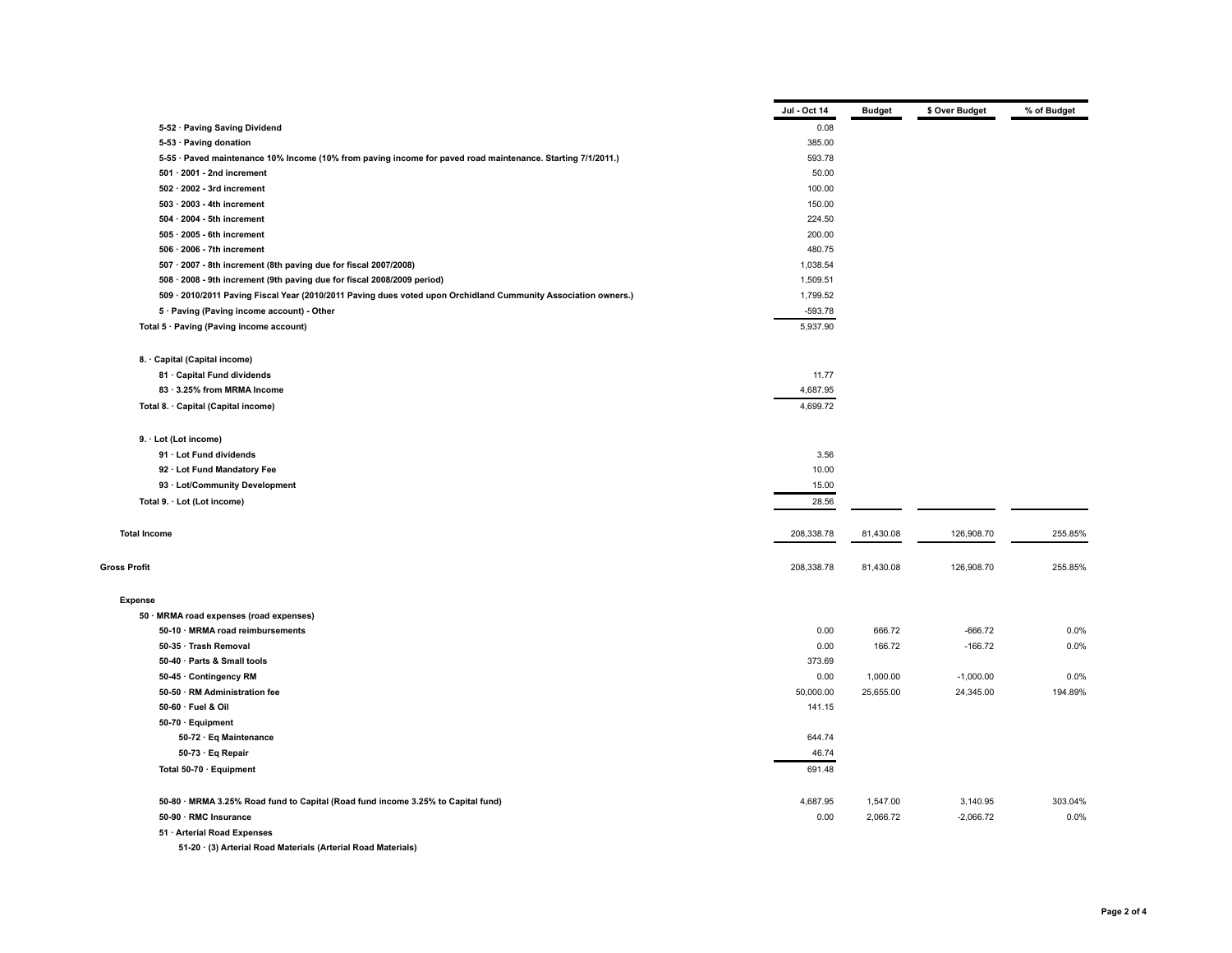|                                                                                                                | Jul - Oct 14 | <b>Budget</b> | \$ Over Budget | % of Budget |
|----------------------------------------------------------------------------------------------------------------|--------------|---------------|----------------|-------------|
| 5-52 · Paving Saving Dividend                                                                                  | 0.08         |               |                |             |
| 5-53 · Paving donation                                                                                         | 385.00       |               |                |             |
| 5-55 · Paved maintenance 10% Income (10% from paving income for paved road maintenance. Starting 7/1/2011.)    | 593.78       |               |                |             |
| $501 \cdot 2001$ - 2nd increment                                                                               | 50.00        |               |                |             |
| $502 \cdot 2002$ - 3rd increment                                                                               | 100.00       |               |                |             |
| 503 · 2003 - 4th increment                                                                                     | 150.00       |               |                |             |
| 504 · 2004 - 5th increment                                                                                     | 224.50       |               |                |             |
| $505 \cdot 2005$ - 6th increment                                                                               | 200.00       |               |                |             |
| $506 \cdot 2006$ - 7th increment                                                                               | 480.75       |               |                |             |
| 507 · 2007 - 8th increment (8th paving due for fiscal 2007/2008)                                               | 1,038.54     |               |                |             |
| 508 · 2008 - 9th increment (9th paving due for fiscal 2008/2009 period)                                        | 1,509.51     |               |                |             |
| 509 · 2010/2011 Paving Fiscal Year (2010/2011 Paving dues voted upon Orchidland Cummunity Association owners.) | 1,799.52     |               |                |             |
| 5 · Paving (Paving income account) - Other                                                                     | $-593.78$    |               |                |             |
| Total 5 · Paving (Paving income account)                                                                       | 5,937.90     |               |                |             |
|                                                                                                                |              |               |                |             |
| 8. Capital (Capital income)                                                                                    |              |               |                |             |
| 81 · Capital Fund dividends                                                                                    | 11.77        |               |                |             |
| 83 · 3.25% from MRMA Income                                                                                    | 4,687.95     |               |                |             |
| Total 8. · Capital (Capital income)                                                                            | 4,699.72     |               |                |             |
| 9. · Lot (Lot income)                                                                                          |              |               |                |             |
| 91 · Lot Fund dividends                                                                                        | 3.56         |               |                |             |
| 92 · Lot Fund Mandatory Fee                                                                                    | 10.00        |               |                |             |
| 93 · Lot/Community Development                                                                                 | 15.00        |               |                |             |
| Total 9. · Lot (Lot income)                                                                                    | 28.56        |               |                |             |
|                                                                                                                |              |               |                |             |
| <b>Total Income</b>                                                                                            | 208,338.78   | 81,430.08     | 126,908.70     | 255.85%     |
| <b>Gross Profit</b>                                                                                            | 208,338.78   | 81,430.08     | 126,908.70     | 255.85%     |
| <b>Expense</b>                                                                                                 |              |               |                |             |
| 50 · MRMA road expenses (road expenses)                                                                        |              |               |                |             |
| 50-10 · MRMA road reimbursements                                                                               | 0.00         | 666.72        | $-666.72$      | 0.0%        |
| 50-35 · Trash Removal                                                                                          | 0.00         | 166.72        | $-166.72$      | 0.0%        |
| 50-40 · Parts & Small tools                                                                                    | 373.69       |               |                |             |
| 50-45 · Contingency RM                                                                                         | 0.00         | 1,000.00      | $-1,000.00$    | 0.0%        |
| 50-50 · RM Administration fee                                                                                  | 50,000.00    | 25,655.00     | 24,345.00      | 194.89%     |
| 50-60 · Fuel & Oil                                                                                             | 141.15       |               |                |             |
| 50-70 · Equipment                                                                                              |              |               |                |             |
| 50-72 · Eq Maintenance                                                                                         | 644.74       |               |                |             |
| 50-73 · Eq Repair                                                                                              | 46.74        |               |                |             |
| Total 50-70 · Equipment                                                                                        | 691.48       |               |                |             |
|                                                                                                                |              |               |                |             |
| 50-80 · MRMA 3.25% Road fund to Capital (Road fund income 3.25% to Capital fund)                               | 4,687.95     | 1,547.00      | 3,140.95       | 303.04%     |
| 50-90 · RMC Insurance                                                                                          | 0.00         | 2,066.72      | $-2,066.72$    | 0.0%        |
| 51 · Arterial Road Expenses                                                                                    |              |               |                |             |

**51-20 · (3) Arterial Road Materials (Arterial Road Materials)**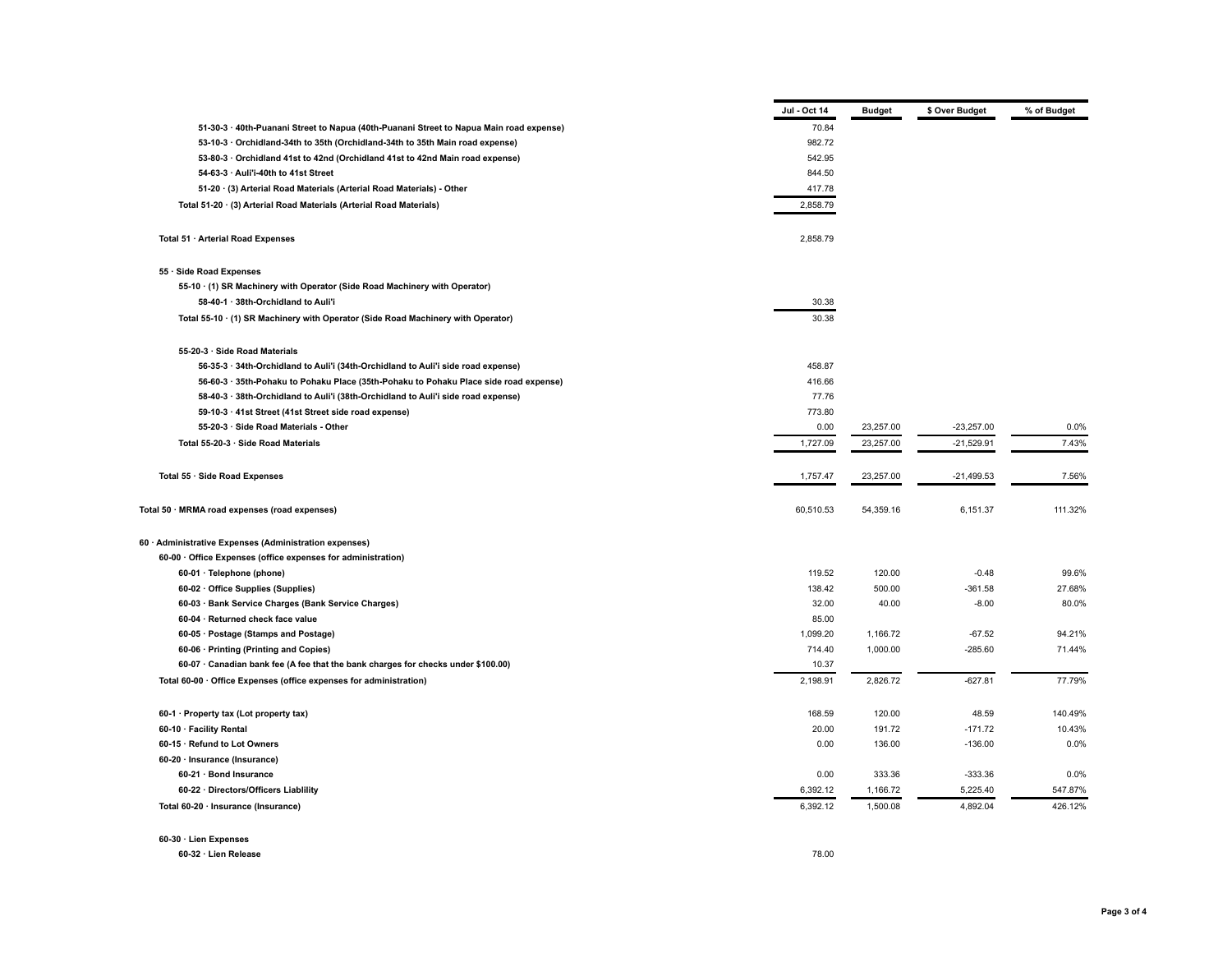|                                                                                         | Jul - Oct 14     | <b>Budget</b>      | \$ Over Budget        | % of Budget |
|-----------------------------------------------------------------------------------------|------------------|--------------------|-----------------------|-------------|
| 51-30-3 · 40th-Puanani Street to Napua (40th-Puanani Street to Napua Main road expense) | 70.84            |                    |                       |             |
| 53-10-3 · Orchidland-34th to 35th (Orchidland-34th to 35th Main road expense)           | 982.72           |                    |                       |             |
| 53-80-3 · Orchidland 41st to 42nd (Orchidland 41st to 42nd Main road expense)           | 542.95           |                    |                       |             |
| 54-63-3 · Auli'i-40th to 41st Street                                                    | 844.50           |                    |                       |             |
| 51-20 · (3) Arterial Road Materials (Arterial Road Materials) - Other                   | 417.78           |                    |                       |             |
| Total 51-20 · (3) Arterial Road Materials (Arterial Road Materials)                     | 2,858.79         |                    |                       |             |
|                                                                                         |                  |                    |                       |             |
| Total 51 · Arterial Road Expenses                                                       | 2,858.79         |                    |                       |             |
| 55 · Side Road Expenses                                                                 |                  |                    |                       |             |
| 55-10 · (1) SR Machinery with Operator (Side Road Machinery with Operator)              |                  |                    |                       |             |
| 58-40-1 · 38th-Orchidland to Auli'i                                                     | 30.38            |                    |                       |             |
| Total 55-10 · (1) SR Machinery with Operator (Side Road Machinery with Operator)        | 30.38            |                    |                       |             |
| 55-20-3 · Side Road Materials                                                           |                  |                    |                       |             |
| 56-35-3 · 34th-Orchidland to Auli'i (34th-Orchidland to Auli'i side road expense)       | 458.87           |                    |                       |             |
| 56-60-3 · 35th-Pohaku to Pohaku Place (35th-Pohaku to Pohaku Place side road expense)   | 416.66           |                    |                       |             |
| 58-40-3 · 38th-Orchidland to Auli'i (38th-Orchidland to Auli'i side road expense)       | 77.76            |                    |                       |             |
| 59-10-3 · 41st Street (41st Street side road expense)                                   | 773.80           |                    |                       |             |
| 55-20-3 · Side Road Materials - Other                                                   | 0.00             | 23,257.00          | $-23,257.00$          | 0.0%        |
| Total 55-20-3 · Side Road Materials                                                     | 1,727.09         | 23,257.00          | $-21,529.91$          | 7.43%       |
| Total 55 · Side Road Expenses                                                           | 1,757.47         | 23,257.00          | $-21,499.53$          | 7.56%       |
| Total 50 · MRMA road expenses (road expenses)                                           | 60,510.53        | 54,359.16          | 6,151.37              | 111.32%     |
| 60 · Administrative Expenses (Administration expenses)                                  |                  |                    |                       |             |
| 60-00 · Office Expenses (office expenses for administration)                            |                  |                    |                       |             |
| 60-01 · Telephone (phone)                                                               | 119.52           | 120.00             | $-0.48$               | 99.6%       |
| 60-02 · Office Supplies (Supplies)                                                      | 138.42           | 500.00             | $-361.58$             | 27.68%      |
| 60-03 · Bank Service Charges (Bank Service Charges)                                     | 32.00            | 40.00              | $-8.00$               | 80.0%       |
| 60-04 · Returned check face value                                                       | 85.00            |                    |                       |             |
| 60-05 · Postage (Stamps and Postage)                                                    | 1,099.20         | 1,166.72           | $-67.52$              | 94.21%      |
| 60-06 · Printing (Printing and Copies)                                                  | 714.40           | 1,000.00           | $-285.60$             | 71.44%      |
| 60-07 · Canadian bank fee (A fee that the bank charges for checks under \$100.00)       | 10.37            |                    |                       |             |
| Total 60-00 · Office Expenses (office expenses for administration)                      | 2,198.91         | 2,826.72           | $-627.81$             | 77.79%      |
| 60-1 · Property tax (Lot property tax)                                                  | 168.59           | 120.00             | 48.59                 | 140.49%     |
| 60-10 · Facility Rental                                                                 | 20.00            | 191.72             | $-171.72$             | 10.43%      |
|                                                                                         | 0.00             | 136.00             | $-136.00$             | 0.0%        |
| 60-15 · Refund to Lot Owners                                                            |                  |                    |                       |             |
|                                                                                         |                  |                    |                       |             |
| 60-20 · Insurance (Insurance)                                                           |                  |                    |                       | 0.0%        |
| 60-21 · Bond Insurance<br>60-22 · Directors/Officers Liablility                         | 0.00<br>6,392.12 | 333.36<br>1,166.72 | $-333.36$<br>5,225.40 | 547.87%     |

**60-30 · Lien Expenses**

**60-32 · Lien Release** 78.00